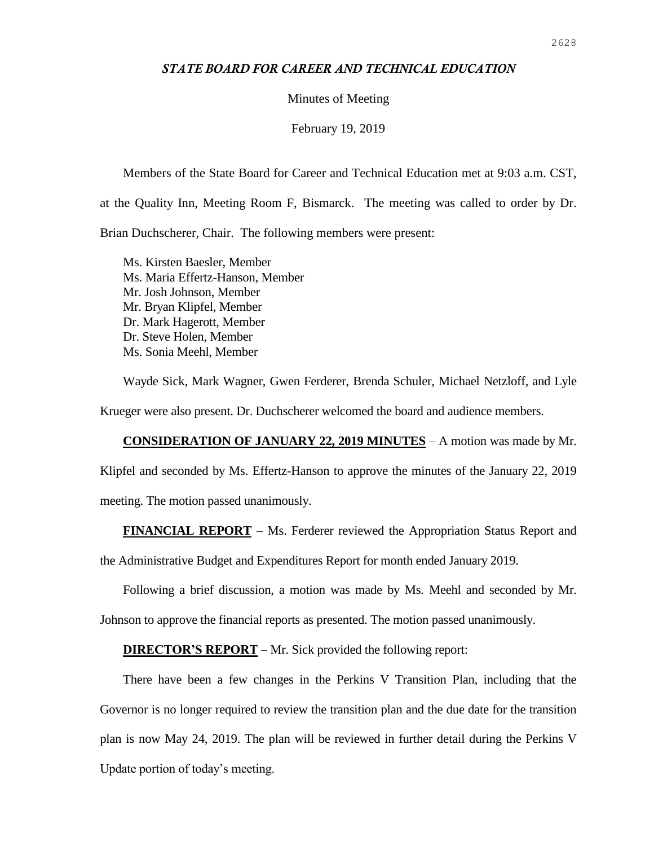## *STATE BOARD FOR CAREER AND TECHNICAL EDUCATION*

## Minutes of Meeting

## February 19, 2019

Members of the State Board for Career and Technical Education met at 9:03 a.m. CST, at the Quality Inn, Meeting Room F, Bismarck. The meeting was called to order by Dr. Brian Duchscherer, Chair. The following members were present:

Ms. Kirsten Baesler, Member Ms. Maria Effertz-Hanson, Member Mr. Josh Johnson, Member Mr. Bryan Klipfel, Member Dr. Mark Hagerott, Member Dr. Steve Holen, Member Ms. Sonia Meehl, Member

Wayde Sick, Mark Wagner, Gwen Ferderer, Brenda Schuler, Michael Netzloff, and Lyle Krueger were also present. Dr. Duchscherer welcomed the board and audience members.

**CONSIDERATION OF JANUARY 22, 2019 MINUTES** – A motion was made by Mr.

Klipfel and seconded by Ms. Effertz-Hanson to approve the minutes of the January 22, 2019 meeting. The motion passed unanimously.

**FINANCIAL REPORT** – Ms. Ferderer reviewed the Appropriation Status Report and

the Administrative Budget and Expenditures Report for month ended January 2019.

Following a brief discussion, a motion was made by Ms. Meehl and seconded by Mr.

Johnson to approve the financial reports as presented. The motion passed unanimously.

**DIRECTOR'S REPORT** – Mr. Sick provided the following report:

There have been a few changes in the Perkins V Transition Plan, including that the Governor is no longer required to review the transition plan and the due date for the transition plan is now May 24, 2019. The plan will be reviewed in further detail during the Perkins V Update portion of today's meeting.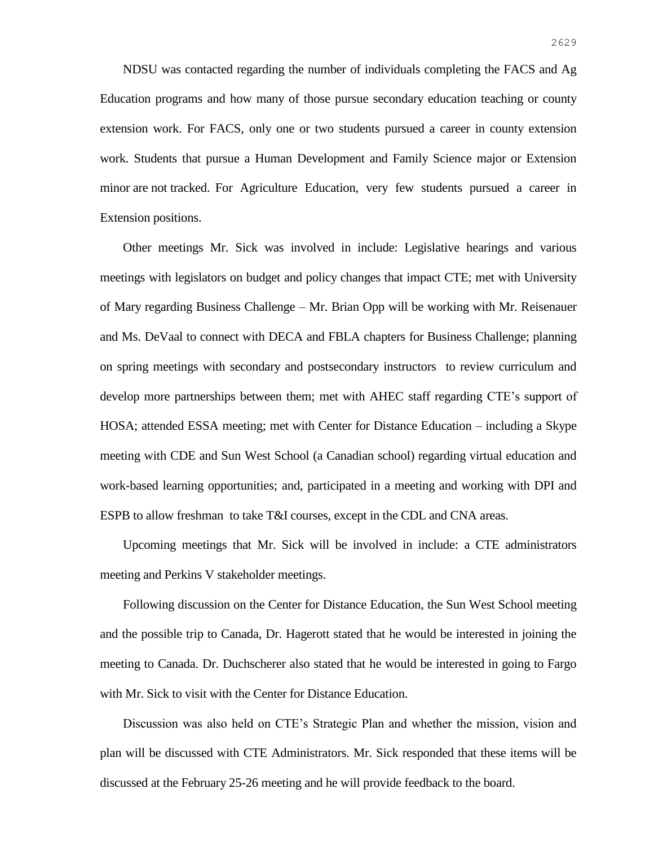NDSU was contacted regarding the number of individuals completing the FACS and Ag Education programs and how many of those pursue secondary education teaching or county extension work. For FACS, only one or two students pursued a career in county extension work. Students that pursue a Human Development and Family Science major or Extension minor are not tracked. For Agriculture Education, very few students pursued a career in Extension positions.

Other meetings Mr. Sick was involved in include: Legislative hearings and various meetings with legislators on budget and policy changes that impact CTE; met with University of Mary regarding Business Challenge – Mr. Brian Opp will be working with Mr. Reisenauer and Ms. DeVaal to connect with DECA and FBLA chapters for Business Challenge; planning on spring meetings with secondary and postsecondary instructors to review curriculum and develop more partnerships between them; met with AHEC staff regarding CTE's support of HOSA; attended ESSA meeting; met with Center for Distance Education – including a Skype meeting with CDE and Sun West School (a Canadian school) regarding virtual education and work-based learning opportunities; and, participated in a meeting and working with DPI and ESPB to allow freshman to take T&I courses, except in the CDL and CNA areas.

Upcoming meetings that Mr. Sick will be involved in include: a CTE administrators meeting and Perkins V stakeholder meetings.

Following discussion on the Center for Distance Education, the Sun West School meeting and the possible trip to Canada, Dr. Hagerott stated that he would be interested in joining the meeting to Canada. Dr. Duchscherer also stated that he would be interested in going to Fargo with Mr. Sick to visit with the Center for Distance Education.

Discussion was also held on CTE's Strategic Plan and whether the mission, vision and plan will be discussed with CTE Administrators. Mr. Sick responded that these items will be discussed at the February 25-26 meeting and he will provide feedback to the board.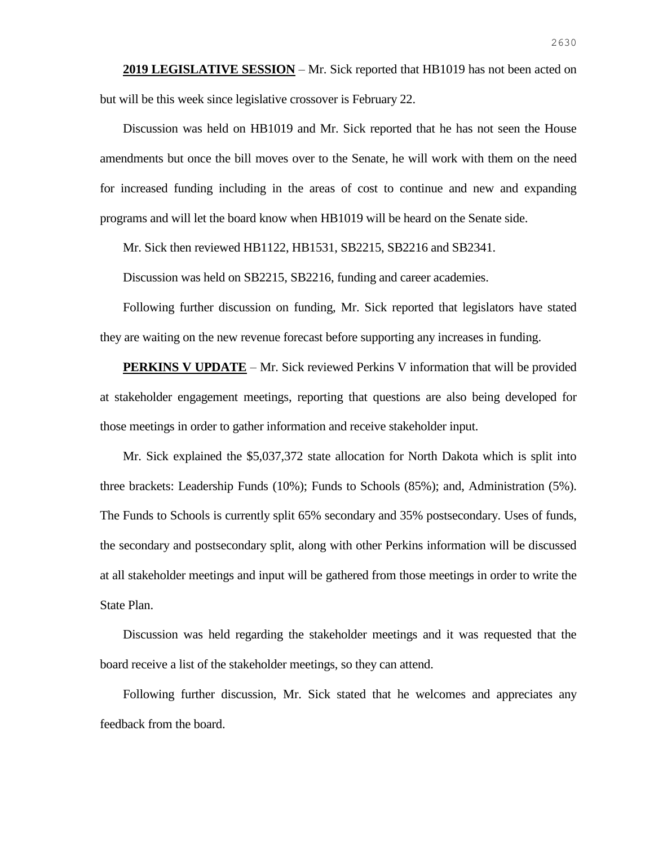**2019 LEGISLATIVE SESSION** – Mr. Sick reported that HB1019 has not been acted on but will be this week since legislative crossover is February 22.

Discussion was held on HB1019 and Mr. Sick reported that he has not seen the House amendments but once the bill moves over to the Senate, he will work with them on the need for increased funding including in the areas of cost to continue and new and expanding programs and will let the board know when HB1019 will be heard on the Senate side.

Mr. Sick then reviewed HB1122, HB1531, SB2215, SB2216 and SB2341.

Discussion was held on SB2215, SB2216, funding and career academies.

Following further discussion on funding, Mr. Sick reported that legislators have stated they are waiting on the new revenue forecast before supporting any increases in funding.

**PERKINS V UPDATE** – Mr. Sick reviewed Perkins V information that will be provided at stakeholder engagement meetings, reporting that questions are also being developed for those meetings in order to gather information and receive stakeholder input.

Mr. Sick explained the \$5,037,372 state allocation for North Dakota which is split into three brackets: Leadership Funds (10%); Funds to Schools (85%); and, Administration (5%). The Funds to Schools is currently split 65% secondary and 35% postsecondary. Uses of funds, the secondary and postsecondary split, along with other Perkins information will be discussed at all stakeholder meetings and input will be gathered from those meetings in order to write the State Plan.

Discussion was held regarding the stakeholder meetings and it was requested that the board receive a list of the stakeholder meetings, so they can attend.

Following further discussion, Mr. Sick stated that he welcomes and appreciates any feedback from the board.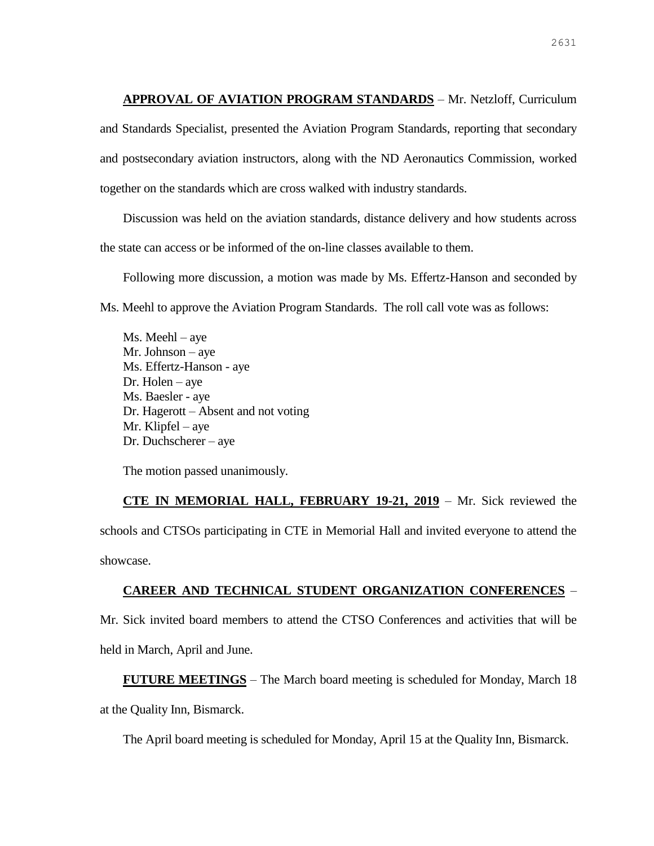**APPROVAL OF AVIATION PROGRAM STANDARDS** – Mr. Netzloff, Curriculum and Standards Specialist, presented the Aviation Program Standards, reporting that secondary and postsecondary aviation instructors, along with the ND Aeronautics Commission, worked together on the standards which are cross walked with industry standards.

Discussion was held on the aviation standards, distance delivery and how students across the state can access or be informed of the on-line classes available to them.

Following more discussion, a motion was made by Ms. Effertz-Hanson and seconded by Ms. Meehl to approve the Aviation Program Standards. The roll call vote was as follows:

Ms. Meehl – aye Mr. Johnson – aye Ms. Effertz-Hanson - aye Dr. Holen – aye Ms. Baesler - aye Dr. Hagerott – Absent and not voting Mr. Klipfel – aye Dr. Duchscherer – aye

The motion passed unanimously.

**CTE IN MEMORIAL HALL, FEBRUARY 19-21, 2019** – Mr. Sick reviewed the schools and CTSOs participating in CTE in Memorial Hall and invited everyone to attend the showcase.

## **CAREER AND TECHNICAL STUDENT ORGANIZATION CONFERENCES** –

Mr. Sick invited board members to attend the CTSO Conferences and activities that will be held in March, April and June.

**FUTURE MEETINGS** – The March board meeting is scheduled for Monday, March 18 at the Quality Inn, Bismarck.

The April board meeting is scheduled for Monday, April 15 at the Quality Inn, Bismarck.